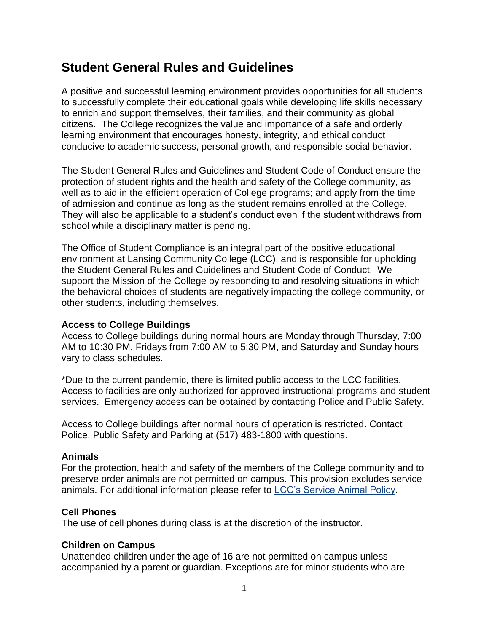# **Student General Rules and Guidelines**

A positive and successful learning environment provides opportunities for all students to successfully complete their educational goals while developing life skills necessary to enrich and support themselves, their families, and their community as global citizens. The College recognizes the value and importance of a safe and orderly learning environment that encourages honesty, integrity, and ethical conduct conducive to academic success, personal growth, and responsible social behavior.

The Student General Rules and Guidelines and Student Code of Conduct ensure the protection of student rights and the health and safety of the College community, as well as to aid in the efficient operation of College programs; and apply from the time of admission and continue as long as the student remains enrolled at the College. They will also be applicable to a student's conduct even if the student withdraws from school while a disciplinary matter is pending.

The Office of Student Compliance is an integral part of the positive educational environment at Lansing Community College (LCC), and is responsible for upholding the Student General Rules and Guidelines and Student Code of Conduct. We support the Mission of the College by responding to and resolving situations in which the behavioral choices of students are negatively impacting the college community, or other students, including themselves.

#### **Access to College Buildings**

Access to College buildings during normal hours are Monday through Thursday, 7:00 AM to 10:30 PM, Fridays from 7:00 AM to 5:30 PM, and Saturday and Sunday hours vary to class schedules.

\*Due to the current pandemic, there is limited public access to the LCC facilities. Access to facilities are only authorized for approved instructional programs and student services. Emergency access can be obtained by contacting Police and Public Safety.

Access to College buildings after normal hours of operation is restricted. Contact Police, Public Safety and Parking at (517) 483-1800 with questions.

#### **Animals**

For the protection, health and safety of the members of the College community and to preserve order animals are not permitted on campus. This provision excludes service animals. For additional information please refer to [LCC's Service Animal Policy.](https://www.lcc.edu/services/access/policy-law/service-animals.html)

#### **Cell Phones**

The use of cell phones during class is at the discretion of the instructor.

#### **Children on Campus**

Unattended children under the age of 16 are not permitted on campus unless accompanied by a parent or guardian. Exceptions are for minor students who are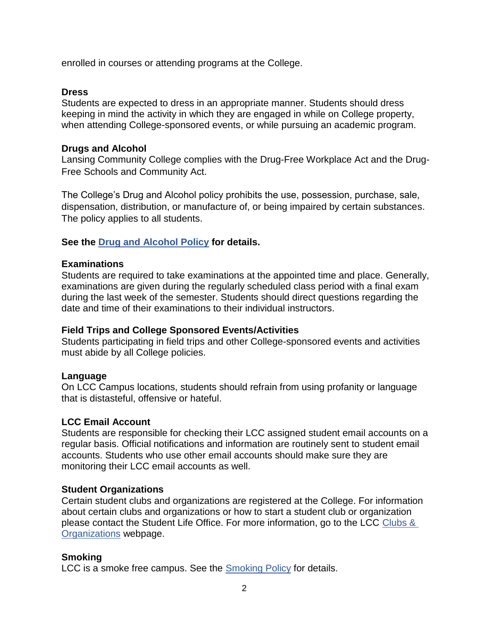enrolled in courses or attending programs at the College.

### **Dress**

Students are expected to dress in an appropriate manner. Students should dress keeping in mind the activity in which they are engaged in while on College property, when attending College-sponsored events, or while pursuing an academic program.

#### **Drugs and Alcohol**

Lansing Community College complies with the Drug-Free Workplace Act and the Drug-Free Schools and Community Act.

The College's Drug and Alcohol policy prohibits the use, possession, purchase, sale, dispensation, distribution, or manufacture of, or being impaired by certain substances. The policy applies to all students.

# **See the [Drug and Alcohol Policy](https://www.lcc.edu/about/board-of-trustees/documents/policies/4-human-resources/4-003_drug-and-alcohol.pdf#search=human%20resources%2Cdrug%20and%20alcohol%20policy) for details.**

#### **Examinations**

Students are required to take examinations at the appointed time and place. Generally, examinations are given during the regularly scheduled class period with a final exam during the last week of the semester. Students should direct questions regarding the date and time of their examinations to their individual instructors.

# **Field Trips and College Sponsored Events/Activities**

Students participating in field trips and other College-sponsored events and activities must abide by all College policies.

# **Language**

On LCC Campus locations, students should refrain from using profanity or language that is distasteful, offensive or hateful.

#### **LCC Email Account**

Students are responsible for checking their LCC assigned student email accounts on a regular basis. Official notifications and information are routinely sent to student email accounts. Students who use other email accounts should make sure they are monitoring their LCC email accounts as well.

# **Student Organizations**

Certain student clubs and organizations are registered at the College. For information about certain clubs and organizations or how to start a student club or organization please contact the Student Life Office. For more information, go to the LCC [Clubs &](https://www.lcc.edu/campuslife/clubs/)  [Organizations](https://www.lcc.edu/campuslife/clubs/) webpage.

# **Smoking**

LCC is a smoke free campus. See the **Smoking Policy** for details.